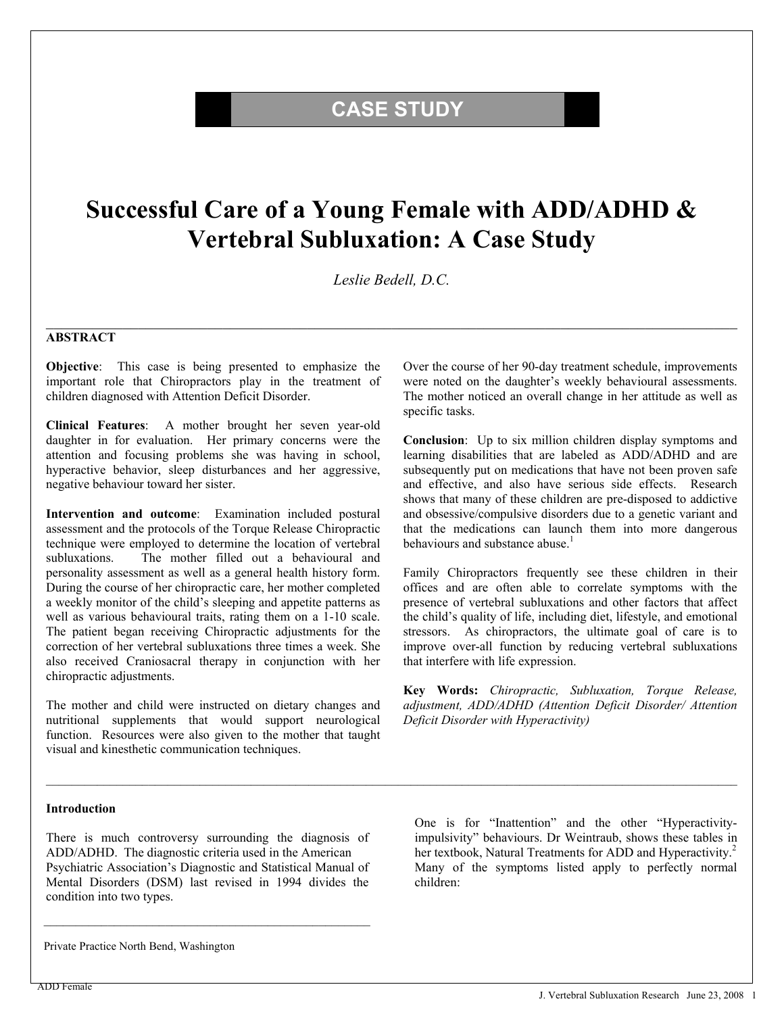## **CASE STUDY**

# **Successful Care of a Young Female with ADD/ADHD & Vertebral Subluxation: A Case Study**

*Leslie Bedell, D.C.* 

 $\mathcal{L}_\mathcal{L} = \mathcal{L}_\mathcal{L} = \mathcal{L}_\mathcal{L} = \mathcal{L}_\mathcal{L} = \mathcal{L}_\mathcal{L} = \mathcal{L}_\mathcal{L} = \mathcal{L}_\mathcal{L} = \mathcal{L}_\mathcal{L} = \mathcal{L}_\mathcal{L} = \mathcal{L}_\mathcal{L} = \mathcal{L}_\mathcal{L} = \mathcal{L}_\mathcal{L} = \mathcal{L}_\mathcal{L} = \mathcal{L}_\mathcal{L} = \mathcal{L}_\mathcal{L} = \mathcal{L}_\mathcal{L} = \mathcal{L}_\mathcal{L}$ 

#### **ABSTRACT**

**Objective**: This case is being presented to emphasize the important role that Chiropractors play in the treatment of children diagnosed with Attention Deficit Disorder.

**Clinical Features**: A mother brought her seven year-old daughter in for evaluation. Her primary concerns were the attention and focusing problems she was having in school, hyperactive behavior, sleep disturbances and her aggressive, negative behaviour toward her sister.

**Intervention and outcome**: Examination included postural assessment and the protocols of the Torque Release Chiropractic technique were employed to determine the location of vertebral subluxations. The mother filled out a behavioural and personality assessment as well as a general health history form. During the course of her chiropractic care, her mother completed a weekly monitor of the child's sleeping and appetite patterns as well as various behavioural traits, rating them on a 1-10 scale. The patient began receiving Chiropractic adjustments for the correction of her vertebral subluxations three times a week. She also received Craniosacral therapy in conjunction with her chiropractic adjustments.

The mother and child were instructed on dietary changes and nutritional supplements that would support neurological function. Resources were also given to the mother that taught visual and kinesthetic communication techniques.

Over the course of her 90-day treatment schedule, improvements were noted on the daughter's weekly behavioural assessments. The mother noticed an overall change in her attitude as well as specific tasks.

**Conclusion**: Up to six million children display symptoms and learning disabilities that are labeled as ADD/ADHD and are subsequently put on medications that have not been proven safe and effective, and also have serious side effects. Research shows that many of these children are pre-disposed to addictive and obsessive/compulsive disorders due to a genetic variant and that the medications can launch them into more dangerous behaviours and substance abuse.<sup>1</sup>

Family Chiropractors frequently see these children in their offices and are often able to correlate symptoms with the presence of vertebral subluxations and other factors that affect the child's quality of life, including diet, lifestyle, and emotional stressors. As chiropractors, the ultimate goal of care is to improve over-all function by reducing vertebral subluxations that interfere with life expression.

**Key Words:** *Chiropractic, Subluxation, Torque Release, adjustment, ADD/ADHD (Attention Deficit Disorder/ Attention Deficit Disorder with Hyperactivity)* 

#### **Introduction**

There is much controversy surrounding the diagnosis of ADD/ADHD. The diagnostic criteria used in the American Psychiatric Association's Diagnostic and Statistical Manual of Mental Disorders (DSM) last revised in 1994 divides the condition into two types.

One is for "Inattention" and the other "Hyperactivityimpulsivity" behaviours. Dr Weintraub, shows these tables in her textbook, Natural Treatments for ADD and Hyperactivity.<sup>2</sup> Many of the symptoms listed apply to perfectly normal children:

Private Practice North Bend, Washington

ADD Female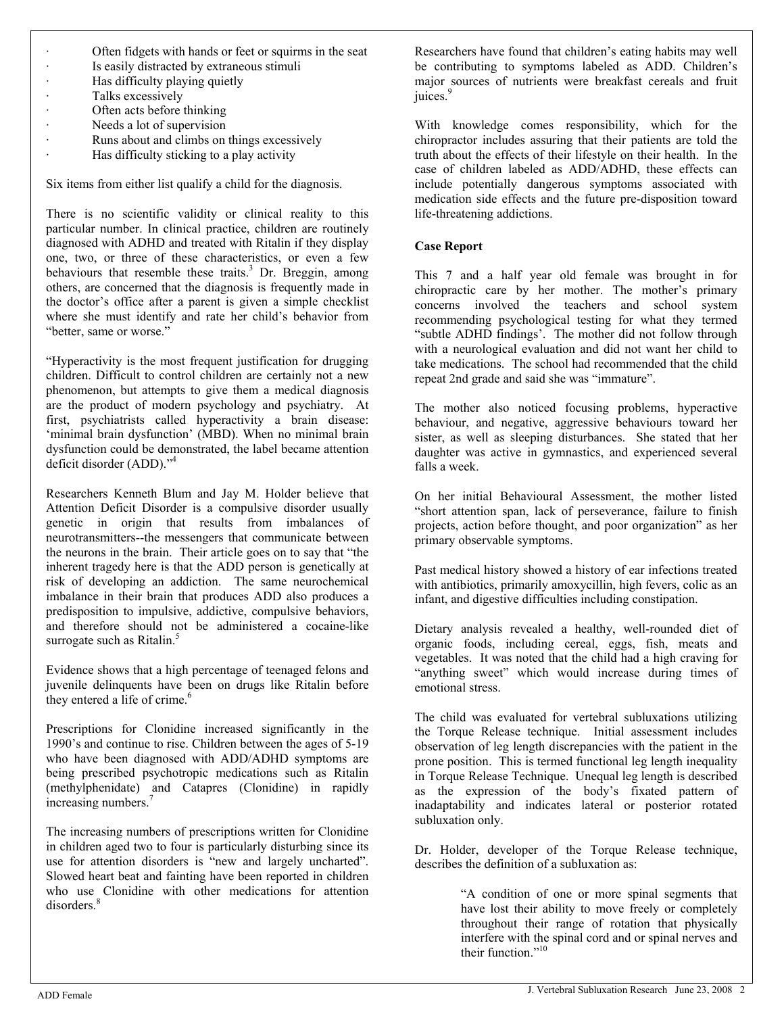- Often fidgets with hands or feet or squirms in the seat
- Is easily distracted by extraneous stimuli
- · Has difficulty playing quietly
	- Talks excessively
- · Often acts before thinking
- · Needs a lot of supervision
	- Runs about and climbs on things excessively
- · Has difficulty sticking to a play activity

Six items from either list qualify a child for the diagnosis.

There is no scientific validity or clinical reality to this particular number. In clinical practice, children are routinely diagnosed with ADHD and treated with Ritalin if they display one, two, or three of these characteristics, or even a few behaviours that resemble these traits. $3$  Dr. Breggin, among others, are concerned that the diagnosis is frequently made in the doctor's office after a parent is given a simple checklist where she must identify and rate her child's behavior from "better, same or worse."

"Hyperactivity is the most frequent justification for drugging children. Difficult to control children are certainly not a new phenomenon, but attempts to give them a medical diagnosis are the product of modern psychology and psychiatry. At first, psychiatrists called hyperactivity a brain disease: 'minimal brain dysfunction' (MBD). When no minimal brain dysfunction could be demonstrated, the label became attention deficit disorder (ADD)."4

Researchers Kenneth Blum and Jay M. Holder believe that Attention Deficit Disorder is a compulsive disorder usually genetic in origin that results from imbalances of neurotransmitters--the messengers that communicate between the neurons in the brain. Their article goes on to say that "the inherent tragedy here is that the ADD person is genetically at risk of developing an addiction. The same neurochemical imbalance in their brain that produces ADD also produces a predisposition to impulsive, addictive, compulsive behaviors, and therefore should not be administered a cocaine-like surrogate such as Ritalin.<sup>5</sup>

Evidence shows that a high percentage of teenaged felons and juvenile delinquents have been on drugs like Ritalin before they entered a life of crime.<sup>6</sup>

Prescriptions for Clonidine increased significantly in the 1990's and continue to rise. Children between the ages of 5-19 who have been diagnosed with ADD/ADHD symptoms are being prescribed psychotropic medications such as Ritalin (methylphenidate) and Catapres (Clonidine) in rapidly increasing numbers.<sup>7</sup>

The increasing numbers of prescriptions written for Clonidine in children aged two to four is particularly disturbing since its use for attention disorders is "new and largely uncharted". Slowed heart beat and fainting have been reported in children who use Clonidine with other medications for attention disorders.<sup>8</sup>

Researchers have found that children's eating habits may well be contributing to symptoms labeled as ADD. Children's major sources of nutrients were breakfast cereals and fruit juices.<sup>9</sup>

With knowledge comes responsibility, which for the chiropractor includes assuring that their patients are told the truth about the effects of their lifestyle on their health. In the case of children labeled as ADD/ADHD, these effects can include potentially dangerous symptoms associated with medication side effects and the future pre-disposition toward life-threatening addictions.

#### **Case Report**

This 7 and a half year old female was brought in for chiropractic care by her mother. The mother's primary concerns involved the teachers and school system recommending psychological testing for what they termed "subtle ADHD findings'. The mother did not follow through with a neurological evaluation and did not want her child to take medications. The school had recommended that the child repeat 2nd grade and said she was "immature".

The mother also noticed focusing problems, hyperactive behaviour, and negative, aggressive behaviours toward her sister, as well as sleeping disturbances. She stated that her daughter was active in gymnastics, and experienced several falls a week.

On her initial Behavioural Assessment, the mother listed "short attention span, lack of perseverance, failure to finish projects, action before thought, and poor organization" as her primary observable symptoms.

Past medical history showed a history of ear infections treated with antibiotics, primarily amoxycillin, high fevers, colic as an infant, and digestive difficulties including constipation.

Dietary analysis revealed a healthy, well-rounded diet of organic foods, including cereal, eggs, fish, meats and vegetables. It was noted that the child had a high craving for "anything sweet" which would increase during times of emotional stress.

The child was evaluated for vertebral subluxations utilizing the Torque Release technique. Initial assessment includes observation of leg length discrepancies with the patient in the prone position. This is termed functional leg length inequality in Torque Release Technique. Unequal leg length is described as the expression of the body's fixated pattern of inadaptability and indicates lateral or posterior rotated subluxation only.

Dr. Holder, developer of the Torque Release technique, describes the definition of a subluxation as:

> "A condition of one or more spinal segments that have lost their ability to move freely or completely throughout their range of rotation that physically interfere with the spinal cord and or spinal nerves and their function."<sup>10</sup>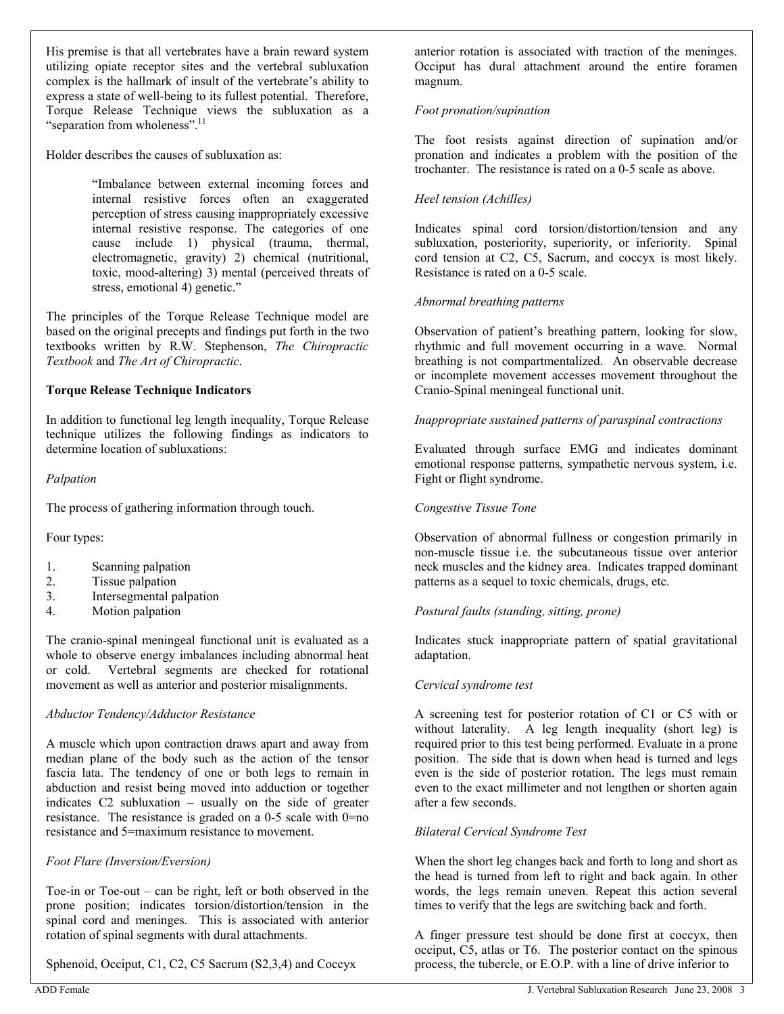His premise is that all vertebrates have a brain reward system utilizing opiate receptor sites and the vertebral subluxation complex is the hallmark of insult of the vertebrate's ability to express a state of well-being to its fullest potential. Therefore, Torque Release Technique views the subluxation as a "separation from wholeness".<sup>11</sup>

Holder describes the causes of subluxation as:

"Imbalance between external incoming forces and internal resistive forces often an exaggerated perception of stress causing inappropriately excessive internal resistive response. The categories of one cause include 1) physical (trauma, thermal, electromagnetic, gravity) 2) chemical (nutritional, toxic, mood-altering) 3) mental (perceived threats of stress, emotional 4) genetic."

The principles of the Torque Release Technique model are based on the original precepts and findings put forth in the two textbooks written by R.W. Stephenson, *The Chiropractic Textbook* and *The Art of Chiropractic*.

#### **Torque Release Technique Indicators**

In addition to functional leg length inequality, Torque Release technique utilizes the following findings as indicators to determine location of subluxations:

#### *Palpation*

The process of gathering information through touch.

Four types:

- 1. Scanning palpation
- 2. Tissue palpation
- 3. Intersegmental palpation
- 4. Motion palpation

The cranio-spinal meningeal functional unit is evaluated as a whole to observe energy imbalances including abnormal heat or cold. Vertebral segments are checked for rotational movement as well as anterior and posterior misalignments.

#### *Abductor Tendency/Adductor Resistance*

A muscle which upon contraction draws apart and away from median plane of the body such as the action of the tensor fascia lata. The tendency of one or both legs to remain in abduction and resist being moved into adduction or together indicates C2 subluxation – usually on the side of greater resistance. The resistance is graded on a 0-5 scale with 0=no resistance and 5=maximum resistance to movement.

#### *Foot Flare (Inversion/Eversion)*

Toe-in or Toe-out – can be right, left or both observed in the prone position; indicates torsion/distortion/tension in the spinal cord and meninges. This is associated with anterior rotation of spinal segments with dural attachments.

Sphenoid, Occiput, C1, C2, C5 Sacrum (S2,3,4) and Coccyx

anterior rotation is associated with traction of the meninges. Occiput has dural attachment around the entire foramen magnum.

#### *Foot pronation/supination*

The foot resists against direction of supination and/or pronation and indicates a problem with the position of the trochanter. The resistance is rated on a 0-5 scale as above.

#### *Heel tension (Achilles)*

Indicates spinal cord torsion/distortion/tension and any subluxation, posteriority, superiority, or inferiority. Spinal cord tension at C2, C5, Sacrum, and coccyx is most likely. Resistance is rated on a 0-5 scale.

#### *Abnormal breathing patterns*

Observation of patient's breathing pattern, looking for slow, rhythmic and full movement occurring in a wave. Normal breathing is not compartmentalized. An observable decrease or incomplete movement accesses movement throughout the Cranio-Spinal meningeal functional unit.

#### *Inappropriate sustained patterns of paraspinal contractions*

Evaluated through surface EMG and indicates dominant emotional response patterns, sympathetic nervous system, i.e. Fight or flight syndrome.

#### *Congestive Tissue Tone*

Observation of abnormal fullness or congestion primarily in non-muscle tissue i.e. the subcutaneous tissue over anterior neck muscles and the kidney area. Indicates trapped dominant patterns as a sequel to toxic chemicals, drugs, etc.

#### *Postural faults (standing, sitting, prone)*

Indicates stuck inappropriate pattern of spatial gravitational adaptation.

#### *Cervical syndrome test*

A screening test for posterior rotation of C1 or C5 with or without laterality. A leg length inequality (short leg) is required prior to this test being performed. Evaluate in a prone position. The side that is down when head is turned and legs even is the side of posterior rotation. The legs must remain even to the exact millimeter and not lengthen or shorten again after a few seconds.

#### *Bilateral Cervical Syndrome Test*

When the short leg changes back and forth to long and short as the head is turned from left to right and back again. In other words, the legs remain uneven. Repeat this action several times to verify that the legs are switching back and forth.

A finger pressure test should be done first at coccyx, then occiput, C5, atlas or T6. The posterior contact on the spinous process, the tubercle, or E.O.P. with a line of drive inferior to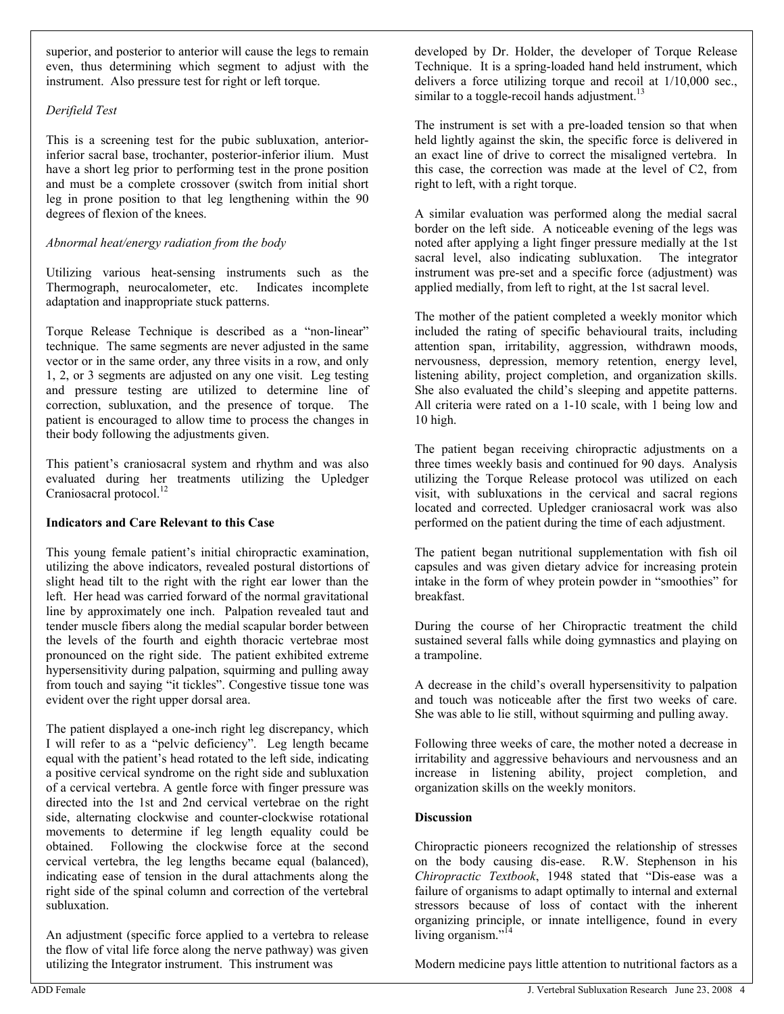superior, and posterior to anterior will cause the legs to remain even, thus determining which segment to adjust with the instrument. Also pressure test for right or left torque.

#### *Derifield Test*

This is a screening test for the pubic subluxation, anteriorinferior sacral base, trochanter, posterior-inferior ilium. Must have a short leg prior to performing test in the prone position and must be a complete crossover (switch from initial short leg in prone position to that leg lengthening within the 90 degrees of flexion of the knees.

#### *Abnormal heat/energy radiation from the body*

Utilizing various heat-sensing instruments such as the Thermograph, neurocalometer, etc. Indicates incomplete adaptation and inappropriate stuck patterns.

Torque Release Technique is described as a "non-linear" technique. The same segments are never adjusted in the same vector or in the same order, any three visits in a row, and only 1, 2, or 3 segments are adjusted on any one visit. Leg testing and pressure testing are utilized to determine line of correction, subluxation, and the presence of torque. The patient is encouraged to allow time to process the changes in their body following the adjustments given.

This patient's craniosacral system and rhythm and was also evaluated during her treatments utilizing the Upledger Craniosacral protocol.<sup>12</sup>

#### **Indicators and Care Relevant to this Case**

This young female patient's initial chiropractic examination, utilizing the above indicators, revealed postural distortions of slight head tilt to the right with the right ear lower than the left. Her head was carried forward of the normal gravitational line by approximately one inch. Palpation revealed taut and tender muscle fibers along the medial scapular border between the levels of the fourth and eighth thoracic vertebrae most pronounced on the right side. The patient exhibited extreme hypersensitivity during palpation, squirming and pulling away from touch and saying "it tickles". Congestive tissue tone was evident over the right upper dorsal area.

The patient displayed a one-inch right leg discrepancy, which I will refer to as a "pelvic deficiency". Leg length became equal with the patient's head rotated to the left side, indicating a positive cervical syndrome on the right side and subluxation of a cervical vertebra. A gentle force with finger pressure was directed into the 1st and 2nd cervical vertebrae on the right side, alternating clockwise and counter-clockwise rotational movements to determine if leg length equality could be obtained. Following the clockwise force at the second cervical vertebra, the leg lengths became equal (balanced), indicating ease of tension in the dural attachments along the right side of the spinal column and correction of the vertebral subluxation.

An adjustment (specific force applied to a vertebra to release the flow of vital life force along the nerve pathway) was given utilizing the Integrator instrument. This instrument was

developed by Dr. Holder, the developer of Torque Release Technique. It is a spring-loaded hand held instrument, which delivers a force utilizing torque and recoil at  $1/10,000$  sec., similar to a toggle-recoil hands adjustment.<sup>13</sup>

The instrument is set with a pre-loaded tension so that when held lightly against the skin, the specific force is delivered in an exact line of drive to correct the misaligned vertebra. In this case, the correction was made at the level of C2, from right to left, with a right torque.

A similar evaluation was performed along the medial sacral border on the left side. A noticeable evening of the legs was noted after applying a light finger pressure medially at the 1st sacral level, also indicating subluxation. The integrator instrument was pre-set and a specific force (adjustment) was applied medially, from left to right, at the 1st sacral level.

The mother of the patient completed a weekly monitor which included the rating of specific behavioural traits, including attention span, irritability, aggression, withdrawn moods, nervousness, depression, memory retention, energy level, listening ability, project completion, and organization skills. She also evaluated the child's sleeping and appetite patterns. All criteria were rated on a 1-10 scale, with 1 being low and 10 high.

The patient began receiving chiropractic adjustments on a three times weekly basis and continued for 90 days. Analysis utilizing the Torque Release protocol was utilized on each visit, with subluxations in the cervical and sacral regions located and corrected. Upledger craniosacral work was also performed on the patient during the time of each adjustment.

The patient began nutritional supplementation with fish oil capsules and was given dietary advice for increasing protein intake in the form of whey protein powder in "smoothies" for breakfast.

During the course of her Chiropractic treatment the child sustained several falls while doing gymnastics and playing on a trampoline.

A decrease in the child's overall hypersensitivity to palpation and touch was noticeable after the first two weeks of care. She was able to lie still, without squirming and pulling away.

Following three weeks of care, the mother noted a decrease in irritability and aggressive behaviours and nervousness and an increase in listening ability, project completion, and organization skills on the weekly monitors.

#### **Discussion**

Chiropractic pioneers recognized the relationship of stresses on the body causing dis-ease. R.W. Stephenson in his *Chiropractic Textbook*, 1948 stated that "Dis-ease was a failure of organisms to adapt optimally to internal and external stressors because of loss of contact with the inherent organizing principle, or innate intelligence, found in every living organism."<sup>14</sup>

Modern medicine pays little attention to nutritional factors as a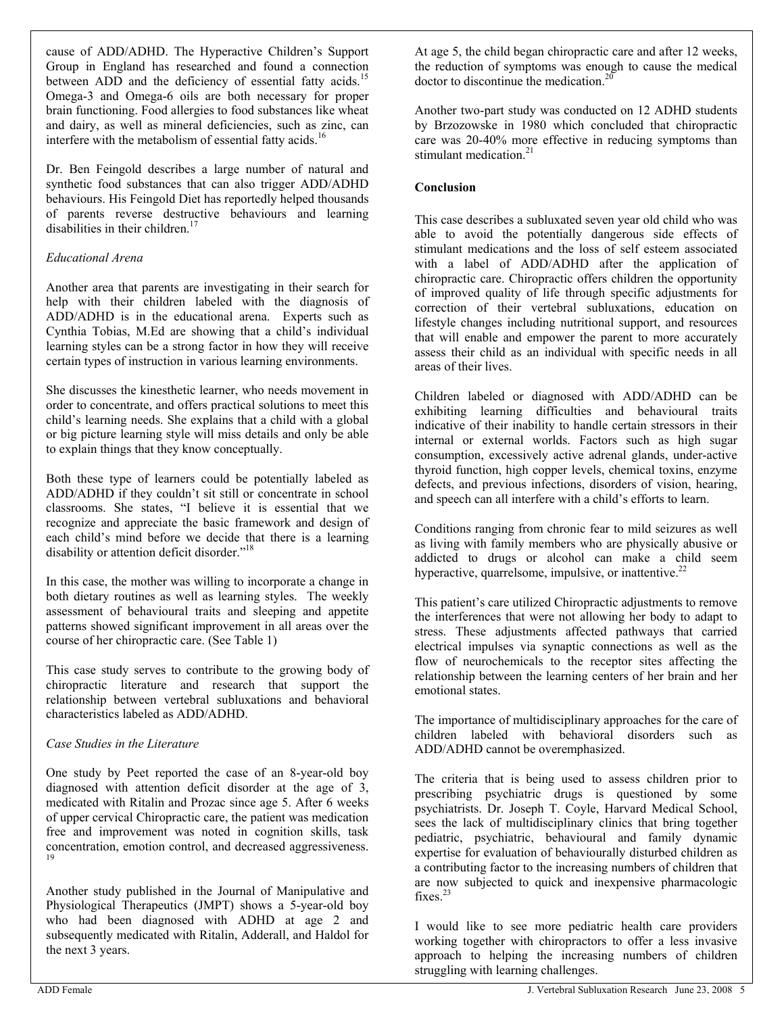cause of ADD/ADHD. The Hyperactive Children's Support Group in England has researched and found a connection between ADD and the deficiency of essential fatty acids.<sup>15</sup> Omega-3 and Omega-6 oils are both necessary for proper brain functioning. Food allergies to food substances like wheat and dairy, as well as mineral deficiencies, such as zinc, can interfere with the metabolism of essential fatty acids.<sup>16</sup>

Dr. Ben Feingold describes a large number of natural and synthetic food substances that can also trigger ADD/ADHD behaviours. His Feingold Diet has reportedly helped thousands of parents reverse destructive behaviours and learning disabilities in their children.<sup>17</sup>

#### *Educational Arena*

Another area that parents are investigating in their search for help with their children labeled with the diagnosis of ADD/ADHD is in the educational arena. Experts such as Cynthia Tobias, M.Ed are showing that a child's individual learning styles can be a strong factor in how they will receive certain types of instruction in various learning environments.

She discusses the kinesthetic learner, who needs movement in order to concentrate, and offers practical solutions to meet this child's learning needs. She explains that a child with a global or big picture learning style will miss details and only be able to explain things that they know conceptually.

Both these type of learners could be potentially labeled as ADD/ADHD if they couldn't sit still or concentrate in school classrooms. She states, "I believe it is essential that we recognize and appreciate the basic framework and design of each child's mind before we decide that there is a learning disability or attention deficit disorder."<sup>18</sup>

In this case, the mother was willing to incorporate a change in both dietary routines as well as learning styles. The weekly assessment of behavioural traits and sleeping and appetite patterns showed significant improvement in all areas over the course of her chiropractic care. (See Table 1)

This case study serves to contribute to the growing body of chiropractic literature and research that support the relationship between vertebral subluxations and behavioral characteristics labeled as ADD/ADHD.

#### *Case Studies in the Literature*

One study by Peet reported the case of an 8-year-old boy diagnosed with attention deficit disorder at the age of 3, medicated with Ritalin and Prozac since age 5. After 6 weeks of upper cervical Chiropractic care, the patient was medication free and improvement was noted in cognition skills, task concentration, emotion control, and decreased aggressiveness. 19

Another study published in the Journal of Manipulative and Physiological Therapeutics (JMPT) shows a 5-year-old boy who had been diagnosed with ADHD at age 2 and subsequently medicated with Ritalin, Adderall, and Haldol for the next 3 years.

At age 5, the child began chiropractic care and after 12 weeks, the reduction of symptoms was enough to cause the medical doctor to discontinue the medication.<sup>20</sup>

Another two-part study was conducted on 12 ADHD students by Brzozowske in 1980 which concluded that chiropractic care was 20-40% more effective in reducing symptoms than stimulant medication. $21$ 

### **Conclusion**

This case describes a subluxated seven year old child who was able to avoid the potentially dangerous side effects of stimulant medications and the loss of self esteem associated with a label of ADD/ADHD after the application of chiropractic care. Chiropractic offers children the opportunity of improved quality of life through specific adjustments for correction of their vertebral subluxations, education on lifestyle changes including nutritional support, and resources that will enable and empower the parent to more accurately assess their child as an individual with specific needs in all areas of their lives.

Children labeled or diagnosed with ADD/ADHD can be exhibiting learning difficulties and behavioural traits indicative of their inability to handle certain stressors in their internal or external worlds. Factors such as high sugar consumption, excessively active adrenal glands, under-active thyroid function, high copper levels, chemical toxins, enzyme defects, and previous infections, disorders of vision, hearing, and speech can all interfere with a child's efforts to learn.

Conditions ranging from chronic fear to mild seizures as well as living with family members who are physically abusive or addicted to drugs or alcohol can make a child seem hyperactive, quarrelsome, impulsive, or inattentive. $22$ 

This patient's care utilized Chiropractic adjustments to remove the interferences that were not allowing her body to adapt to stress. These adjustments affected pathways that carried electrical impulses via synaptic connections as well as the flow of neurochemicals to the receptor sites affecting the relationship between the learning centers of her brain and her emotional states.

The importance of multidisciplinary approaches for the care of children labeled with behavioral disorders such as ADD/ADHD cannot be overemphasized.

The criteria that is being used to assess children prior to prescribing psychiatric drugs is questioned by some psychiatrists. Dr. Joseph T. Coyle, Harvard Medical School, sees the lack of multidisciplinary clinics that bring together pediatric, psychiatric, behavioural and family dynamic expertise for evaluation of behaviourally disturbed children as a contributing factor to the increasing numbers of children that are now subjected to quick and inexpensive pharmacologic fixes.<sup>23</sup>

I would like to see more pediatric health care providers working together with chiropractors to offer a less invasive approach to helping the increasing numbers of children struggling with learning challenges.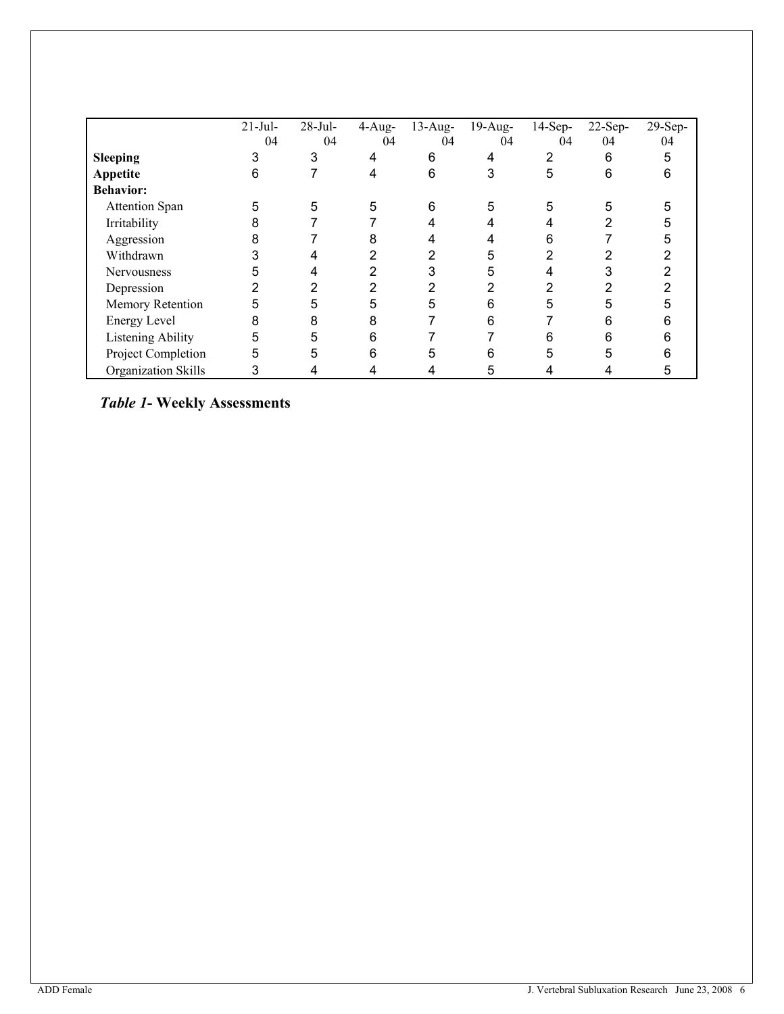|                     | $21-Jul-$ | $28$ -Jul- | $4$ -Aug- | $13$ -Aug- | $19$ -Aug- | $14-Sep-$ | $22$ -Sep- | $29-Sep-$ |
|---------------------|-----------|------------|-----------|------------|------------|-----------|------------|-----------|
|                     | 04        | 04         | 04        | 04         | 04         | 04        | 04         | 04        |
| <b>Sleeping</b>     | 3         | 3          | 4         | 6          | 4          | 2         | 6          | 5         |
| Appetite            | 6         |            | 4         | 6          | 3          | 5         | 6          | 6         |
| <b>Behavior:</b>    |           |            |           |            |            |           |            |           |
| Attention Span      | 5         | 5          | 5         | 6          | 5          | 5         |            | 5         |
| Irritability        | 8         |            |           |            |            |           |            | 5         |
| Aggression          | 8         |            | 8         |            |            | 6         |            | h         |
| Withdrawn           |           |            | 2         | 2          | 5          | 2         |            |           |
| <b>Nervousness</b>  | 5         |            | 2         |            | 5          |           |            |           |
| Depression          | 2         |            | ົ         | ⌒          | 2          | າ         |            |           |
| Memory Retention    | 5         | 5          | 5         | 5          | 6          | 5         |            |           |
| Energy Level        | 8         | 8          | 8         |            | 6          |           | 6          |           |
| Listening Ability   | 5         | 5          | 6         |            |            | 6         | 6          |           |
| Project Completion  | 5         | 5          | 6         |            | 6          | 5         | 5          |           |
| Organization Skills | 3         |            |           |            | 5          |           |            | h         |

*Table 1***- Weekly Assessments**